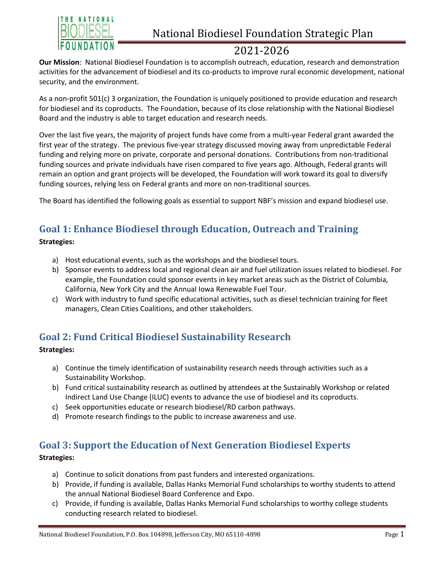

## 2021-2026

**Our Mission**: National Biodiesel Foundation is to accomplish outreach, education, research and demonstration activities for the advancement of biodiesel and its co-products to improve rural economic development, national security, and the environment.

As a non-profit 501(c) 3 organization, the Foundation is uniquely positioned to provide education and research for biodiesel and its coproducts. The Foundation, because of its close relationship with the National Biodiesel Board and the industry is able to target education and research needs.

Over the last five years, the majority of project funds have come from a multi-year Federal grant awarded the first year of the strategy. The previous five-year strategy discussed moving away from unpredictable Federal funding and relying more on private, corporate and personal donations. Contributions from non-traditional funding sources and private individuals have risen compared to five years ago. Although, Federal grants will remain an option and grant projects will be developed, the Foundation will work toward its goal to diversify funding sources, relying less on Federal grants and more on non-traditional sources.

The Board has identified the following goals as essential to support NBF's mission and expand biodiesel use.

## **Goal 1: Enhance Biodiesel through Education, Outreach and Training**

**Strategies:**

- a) Host educational events, such as the workshops and the biodiesel tours.
- b) Sponsor events to address local and regional clean air and fuel utilization issues related to biodiesel. For example, the Foundation could sponsor events in key market areas such as the District of Columbia, California, New York City and the Annual Iowa Renewable Fuel Tour.
- c) Work with industry to fund specific educational activities, such as diesel technician training for fleet managers, Clean Cities Coalitions, and other stakeholders.

### **Goal 2: Fund Critical Biodiesel Sustainability Research**

### **Strategies:**

- a) Continue the timely identification of sustainability research needs through activities such as a Sustainability Workshop.
- b) Fund critical sustainability research as outlined by attendees at the Sustainably Workshop or related Indirect Land Use Change (ILUC) events to advance the use of biodiesel and its coproducts.
- c) Seek opportunities educate or research biodiesel/RD carbon pathways.
- d) Promote research findings to the public to increase awareness and use.

### **Goal 3: Support the Education of Next Generation Biodiesel Experts**

### **Strategies:**

- a) Continue to solicit donations from past funders and interested organizations.
- b) Provide, if funding is available, Dallas Hanks Memorial Fund scholarships to worthy students to attend the annual National Biodiesel Board Conference and Expo.
- c) Provide, if funding is available, Dallas Hanks Memorial Fund scholarships to worthy college students conducting research related to biodiesel.